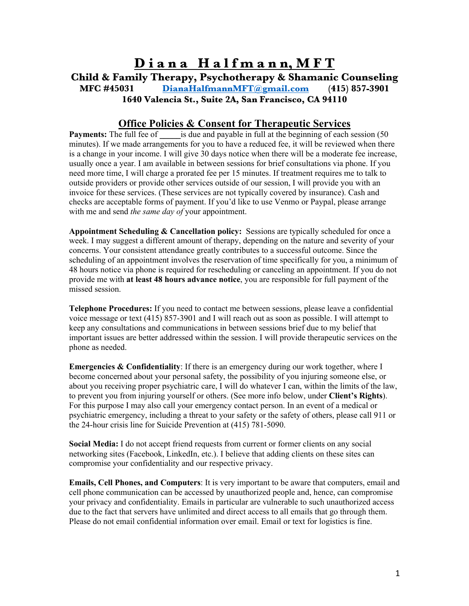## **D i a n a H a l f m a n n, M F T Child & Family Therapy, Psychotherapy & Shamanic Counseling MFC #45031 DianaHalfmannMFT@gmail.com (415) 857-3901 1640 Valencia St., Suite 2A, San Francisco, CA 94110**

## **Office Policies & Consent for Therapeutic Services**

**Payments:** The full fee of is due and payable in full at the beginning of each session (50) minutes). If we made arrangements for you to have a reduced fee, it will be reviewed when there is a change in your income. I will give 30 days notice when there will be a moderate fee increase, usually once a year. I am available in between sessions for brief consultations via phone. If you need more time, I will charge a prorated fee per 15 minutes. If treatment requires me to talk to outside providers or provide other services outside of our session, I will provide you with an invoice for these services. (These services are not typically covered by insurance). Cash and checks are acceptable forms of payment. If you'd like to use Venmo or Paypal, please arrange with me and send *the same day of* your appointment.

**Appointment Scheduling & Cancellation policy:** Sessions are typically scheduled for once a week. I may suggest a different amount of therapy, depending on the nature and severity of your concerns. Your consistent attendance greatly contributes to a successful outcome. Since the scheduling of an appointment involves the reservation of time specifically for you, a minimum of 48 hours notice via phone is required for rescheduling or canceling an appointment. If you do not provide me with **at least 48 hours advance notice**, you are responsible for full payment of the missed session.

**Telephone Procedures:** If you need to contact me between sessions, please leave a confidential voice message or text (415) 857-3901 and I will reach out as soon as possible. I will attempt to keep any consultations and communications in between sessions brief due to my belief that important issues are better addressed within the session. I will provide therapeutic services on the phone as needed.

**Emergencies & Confidentiality**: If there is an emergency during our work together, where I become concerned about your personal safety, the possibility of you injuring someone else, or about you receiving proper psychiatric care, I will do whatever I can, within the limits of the law, to prevent you from injuring yourself or others. (See more info below, under **Client's Rights**). For this purpose I may also call your emergency contact person. In an event of a medical or psychiatric emergency, including a threat to your safety or the safety of others, please call 911 or the 24-hour crisis line for Suicide Prevention at (415) 781-5090.

**Social Media:** I do not accept friend requests from current or former clients on any social networking sites (Facebook, LinkedIn, etc.). I believe that adding clients on these sites can compromise your confidentiality and our respective privacy.

**Emails, Cell Phones, and Computers**: It is very important to be aware that computers, email and cell phone communication can be accessed by unauthorized people and, hence, can compromise your privacy and confidentiality. Emails in particular are vulnerable to such unauthorized access due to the fact that servers have unlimited and direct access to all emails that go through them. Please do not email confidential information over email. Email or text for logistics is fine.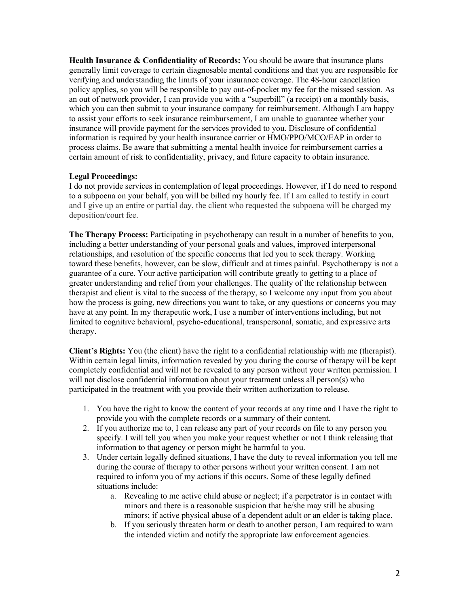**Health Insurance & Confidentiality of Records:** You should be aware that insurance plans generally limit coverage to certain diagnosable mental conditions and that you are responsible for verifying and understanding the limits of your insurance coverage. The 48-hour cancellation policy applies, so you will be responsible to pay out-of-pocket my fee for the missed session. As an out of network provider, I can provide you with a "superbill" (a receipt) on a monthly basis, which you can then submit to your insurance company for reimbursement. Although I am happy to assist your efforts to seek insurance reimbursement, I am unable to guarantee whether your insurance will provide payment for the services provided to you. Disclosure of confidential information is required by your health insurance carrier or HMO/PPO/MCO/EAP in order to process claims. Be aware that submitting a mental health invoice for reimbursement carries a certain amount of risk to confidentiality, privacy, and future capacity to obtain insurance.

## **Legal Proceedings:**

I do not provide services in contemplation of legal proceedings. However, if I do need to respond to a subpoena on your behalf, you will be billed my hourly fee. If I am called to testify in court and I give up an entire or partial day, the client who requested the subpoena will be charged my deposition/court fee.

**The Therapy Process:** Participating in psychotherapy can result in a number of benefits to you, including a better understanding of your personal goals and values, improved interpersonal relationships, and resolution of the specific concerns that led you to seek therapy. Working toward these benefits, however, can be slow, difficult and at times painful. Psychotherapy is not a guarantee of a cure. Your active participation will contribute greatly to getting to a place of greater understanding and relief from your challenges. The quality of the relationship between therapist and client is vital to the success of the therapy, so I welcome any input from you about how the process is going, new directions you want to take, or any questions or concerns you may have at any point. In my therapeutic work, I use a number of interventions including, but not limited to cognitive behavioral, psycho-educational, transpersonal, somatic, and expressive arts therapy.

**Client's Rights:** You (the client) have the right to a confidential relationship with me (therapist). Within certain legal limits, information revealed by you during the course of therapy will be kept completely confidential and will not be revealed to any person without your written permission. I will not disclose confidential information about your treatment unless all person(s) who participated in the treatment with you provide their written authorization to release.

- 1. You have the right to know the content of your records at any time and I have the right to provide you with the complete records or a summary of their content.
- 2. If you authorize me to, I can release any part of your records on file to any person you specify. I will tell you when you make your request whether or not I think releasing that information to that agency or person might be harmful to you.
- 3. Under certain legally defined situations, I have the duty to reveal information you tell me during the course of therapy to other persons without your written consent. I am not required to inform you of my actions if this occurs. Some of these legally defined situations include:
	- a. Revealing to me active child abuse or neglect; if a perpetrator is in contact with minors and there is a reasonable suspicion that he/she may still be abusing minors; if active physical abuse of a dependent adult or an elder is taking place.
	- b. If you seriously threaten harm or death to another person, I am required to warn the intended victim and notify the appropriate law enforcement agencies.